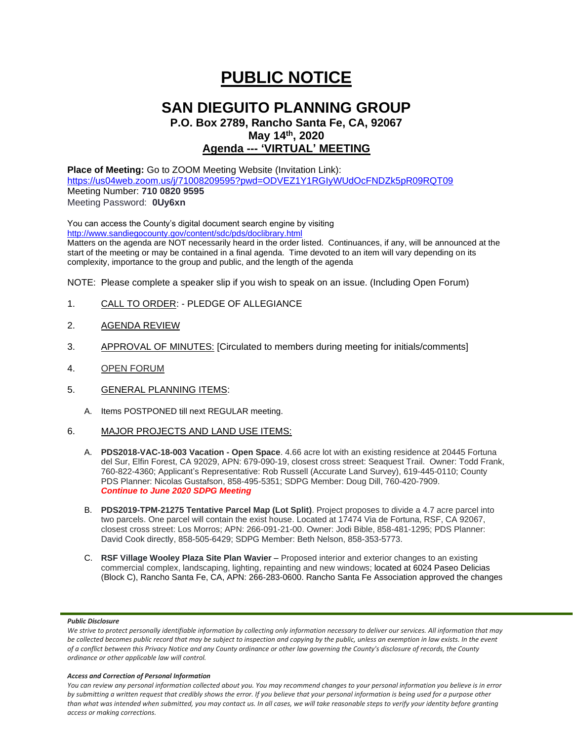# **PUBLIC NOTICE**

## **SAN DIEGUITO PLANNING GROUP**

### **P.O. Box 2789, Rancho Santa Fe, CA, 92067 May 14 th, 2020 Agenda --- 'VIRTUAL' MEETING**

**Place of Meeting:** Go to ZOOM Meeting Website (Invitation Link): <https://us04web.zoom.us/j/71008209595?pwd=ODVEZ1Y1RGIyWUdOcFNDZk5pR09RQT09> Meeting Number: **710 0820 9595** Meeting Password: **0Uy6xn**

You can access the County's digital document search engine by visiting <http://www.sandiegocounty.gov/content/sdc/pds/doclibrary.html> Matters on the agenda are NOT necessarily heard in the order listed. Continuances, if any, will be announced at the start of the meeting or may be contained in a final agenda. Time devoted to an item will vary depending on its complexity, importance to the group and public, and the length of the agenda

NOTE: Please complete a speaker slip if you wish to speak on an issue. (Including Open Forum)

- 1. CALL TO ORDER: PLEDGE OF ALLEGIANCE
- 2. AGENDA REVIEW
- 3. APPROVAL OF MINUTES: [Circulated to members during meeting for initials/comments]
- 4. OPEN FORUM
- 5. GENERAL PLANNING ITEMS:
	- A. Items POSTPONED till next REGULAR meeting.
- 6. MAJOR PROJECTS AND LAND USE ITEMS:
	- A. **PDS2018-VAC-18-003 Vacation - Open Space**. 4.66 acre lot with an existing residence at 20445 Fortuna del Sur, Elfin Forest, CA 92029, APN: 679-090-19, closest cross street: Seaquest Trail. Owner: Todd Frank, 760-822-4360; Applicant's Representative: Rob Russell (Accurate Land Survey), 619-445-0110; County PDS Planner: Nicolas Gustafson, 858-495-5351; SDPG Member: Doug Dill, 760-420-7909. *Continue to June 2020 SDPG Meeting*
	- B. **PDS2019-TPM-21275 Tentative Parcel Map (Lot Split)**. Project proposes to divide a 4.7 acre parcel into two parcels. One parcel will contain the exist house. Located at 17474 Via de Fortuna, RSF, CA 92067, closest cross street: Los Morros; APN: 266-091-21-00. Owner: Jodi Bible, 858-481-1295; PDS Planner: David Cook directly, 858-505-6429; SDPG Member: Beth Nelson, 858-353-5773.
	- C. **RSF Village Wooley Plaza Site Plan Wavier** Proposed interior and exterior changes to an existing commercial complex, landscaping, lighting, repainting and new windows; located at 6024 Paseo Delicias (Block C), Rancho Santa Fe, CA, APN: 266-283-0600. Rancho Santa Fe Association approved the changes

#### *Public Disclosure*

#### *Access and Correction of Personal Information*

*You can review any personal information collected about you. You may recommend changes to your personal information you believe is in error by submitting a written request that credibly shows the error. If you believe that your personal information is being used for a purpose other than what was intended when submitted, you may contact us. In all cases, we will take reasonable steps to verify your identity before granting access or making corrections.*

We strive to protect personally identifiable information by collecting only information necessary to deliver our services. All information that may *be collected becomes public record that may be subject to inspection and copying by the public, unless an exemption in law exists. In the event of a conflict between this Privacy Notice and any County ordinance or other law governing the County's disclosure of records, the County ordinance or other applicable law will control.*